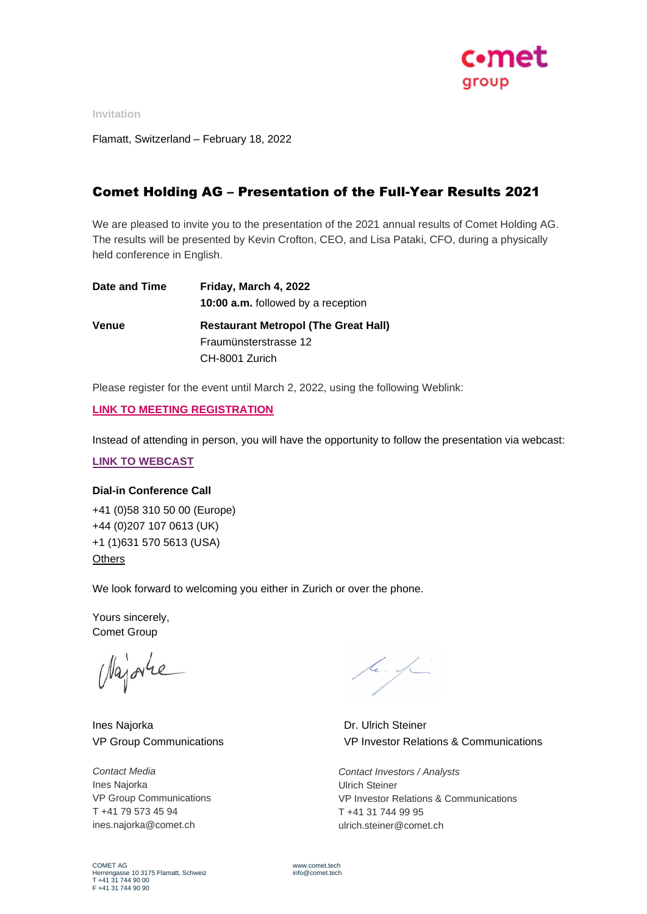

**Invitation**

Flamatt, Switzerland – February 18, 2022

# Comet Holding AG – Presentation of the Full-Year Results 2021

We are pleased to invite you to the presentation of the 2021 annual results of Comet Holding AG. The results will be presented by Kevin Crofton, CEO, and Lisa Pataki, CFO, during a physically held conference in English.

| Date and Time | Friday, March 4, 2022                       |
|---------------|---------------------------------------------|
|               | <b>10:00 a.m.</b> followed by a reception   |
| Venue         | <b>Restaurant Metropol (The Great Hall)</b> |
|               | Fraumünsterstrasse 12                       |
|               | CH-8001 Zurich                              |

Please register for the event until March 2, 2022, using the following Weblink:

### **[LINK TO MEETING REGISTRATION](https://eur03.safelinks.protection.outlook.com/?url=https%3A%2F%2Firpages2.eqs.com%2Fwebsites%2Fcometholding%2FEnglish%2F9500%2Fpresentation-of-the-annual-result-2021.html%3Fiframe%3Dtrue&data=04%7C01%7C%7C79b798399cd24e72a3ee08d9f131e70d%7C67a28f011e47461c9957d5994dbb8d63%7C0%7C0%7C637806018913986999%7CUnknown%7CTWFpbGZsb3d8eyJWIjoiMC4wLjAwMDAiLCJQIjoiV2luMzIiLCJBTiI6Ik1haWwiLCJXVCI6Mn0%3D%7C3000&sdata=%2BnU0N0af1qfUg5hwsNFvEtQmvW1J8hgXki2%2BNYwfZPQ%3D&reserved=0)**

Instead of attending in person, you will have the opportunity to follow the presentation via webcast:

#### **[LINK TO WEBCAST](https://services.choruscall.com/mediaframe/webcast.html?webcastid=YXsW3wAw)**

## **Dial-in Conference Call**

+41 (0)58 310 50 00 (Europe) +44 (0)207 107 0613 (UK) +1 (1)631 570 5613 (USA) **[Others](https://services3.choruscall.ch/NUMBERS/Attended_Dial_In_Numbers.pdf)** 

We look forward to welcoming you either in Zurich or over the phone.

Yours sincerely, Comet Group

Najorre

Ines Najorka VP Group Communications

*Contact Media* Ines Najorka VP Group Communications T +41 79 573 45 94 ines.najorka@comet.ch

tr. fr

Dr. Ulrich Steiner VP Investor Relations & Communications

*Contact Investors / Analysts* Ulrich Steiner VP Investor Relations & Communications T +41 31 744 99 95 ulrich.steiner@comet.ch

COMET AG Herrengasse 10 3175 Flamatt, Schweiz T +41 31 744 90 00 F +41 31 744 90 90

www.comet.tech  $info@count.$ tech